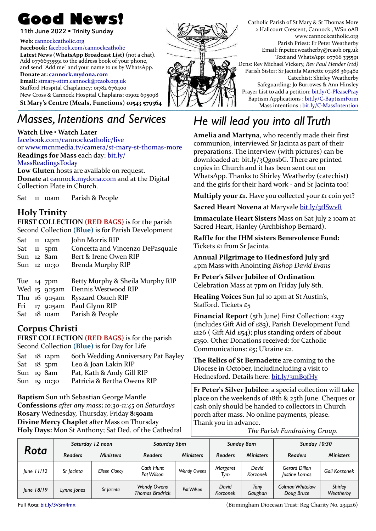**11th June 2022 • Trinity Sunday**

#### **Web:** [cannockcatholic.org](http://cannockcatholic.org)

**Facebook:** [facebook.com/cannockcatholic](http://facebook.com/cannockcatholic) Latest News (WhatsApp Broadcast List) (not a chat). Add 07766335591 to the address book of your phone, and send "Add me" and your name to us by WhatsApp. **Donate at: [cannock.mydona.com](http://cannock.myydona.com)**

**Email**: [stmary-sttm.cannock@rcaob.org.uk](mailto:stmary-sttm.cannock@rcaob.org.uk) Stafford Hospital Chaplaincy: 01782 676400 New Cross & Cannock Hospital Chaplains: 01902 695098 St Mary's Centre (Meals, Functions) 01543 579364

## *Masses, Intentions and Services*

#### Watch Live  $\cdot$  Watch Later

[facebook.com/cannockcatholic/live](http://facebook.com/cannockcatholic/live) or www.mcnmedia.tv/camera/st-mary-st-thomas-more **Readings for Mass each day: bit.ly/** [MassReadingsToday](https://bit.ly/MassReadingsToday) Low Gluten hosts are available on request. **Donate** at cannock.mydona.com and at the Digital Collection Plate in Church.

Sat 11 10am Parish & People

#### **Holy Trinity**

**FIRST COLLECTION (RED BAGS)** is for the parish Second Collection (Blue) is for Parish Development

|              | Sat $11$ $12$ pm | John Morris RIP                  |
|--------------|------------------|----------------------------------|
| Sat $11$ 5pm |                  | Concetta and Vincenzo DePasquale |
| Sun 12 8am   |                  | Bert & Irene Owen RIP            |
|              | Sun 12 10:30     | Brenda Murphy RIP                |
|              |                  |                                  |
| Tue $14$ 7pm |                  | Betty Murphy & Sheila Murphy RIP |
|              | Wed 15 9:15am    | Dennis Westwood RIP              |
|              |                  |                                  |
|              | Thu 16 9:15am    | <b>Ryszard Osuch RIP</b>         |
|              |                  | Fri 17 9:15am Paul Glynn RIP     |

#### **Corpus Christi**

**FIRST COLLECTION (RED BAGS)** is for the parish Second Collection (Blue) is for Day for Life

| $Sat$ $18$ $12 \text{pm}$ | 6 oth Wedding Anniversary Pat Bayley |
|---------------------------|--------------------------------------|
| Sat $18$ 5pm              | Leo & Joan Lakin RIP                 |
| $Sun$ 19 $8am$            | Pat, Kath & Andy Gill RIP            |
| $Sun$ 19 10:30            | Patricia & Bertha Owens RIP          |

**Baptism Sun 11th Sebastian George Mantle Confessions** *after any mass; 10:30-11:45 on Saturdays* **Rosary** Wednesday, Thursday, Friday 8:50am **Divine Mercy Chaplet after Mass on Thursday Holy Days:** Mon St Anthony; Sat Ded. of the Cathedral



# *He will lead you into all Truth*

**Amelia and Martyna**, who recently made their first communion, interviewed Sr Jacinta as part of their preparations. The interview (with pictures) can be downloaded at: bit.ly/3QgosbG. There are printed copies in Church and it has been sent out on WhatsApp. Thanks to Shirley Weatherby (catechist) and the girls for their hard work - and Sr Jacinta too!

**Multiply your £1.** Have you collected your £1 coin yet?

**Sacred Heart Novena** at Maryvale *[bit.ly/3tlSwvR](https://bit.ly/3tlSwvR)* 

**Immaculate Heart Sisters Mass on Sat July 2 10am at** Sacred Heart, Hanley (Archbishop Bernard).

**Raffle for the IHM sisters Benevolence Fund:** Tickets  $\varepsilon_1$  from Sr Jacinta.

Annual Pilgrimage to Hednesford July 3rd 4pm Mass with Anointing *Bishop David Evans*

**Fr Peter's Silver Jubilee of Ordination** Celebration Mass at 7pm on Friday July 8th.

**Healing Voices** Sun Jul 10 2pm at St Austin's, Stafford. Tickets  $E_5$ 

**Financial Report** (5th June) First Collection: £237 (includes Gift Aid of  $£83$ ), Parish Development Fund  $\epsilon$ 126 ( Gift Aid  $\epsilon$ 54); plus standing orders of about  $£350.$  Other Donations received: for Catholic Communications:  $E_5$ ; Ukraine  $E_2$ .

**The Relics of St Bernadette** are coming to the Diocese in October, includincluding a visit to Hednesford. Details here: bit.ly/3mB9fHy

**Fr Peter's Silver Jubilee**: a special collection will take place on the weekends of 18th & 25th June. Cheques or cash only should be handed to collectors in Church porch after mass. No online payments, please. Thank you in advance.

 *The Parish Fundraising Group.*

| Rota       | Saturday 12 noon |                  | Saturday 5pm                                 |                    | Sunday 8am        |                   | Sunday 10:30                                 |                             |
|------------|------------------|------------------|----------------------------------------------|--------------------|-------------------|-------------------|----------------------------------------------|-----------------------------|
|            | <b>Readers</b>   | <b>Ministers</b> | <b>Readers</b>                               | <b>Ministers</b>   | <b>Readers</b>    | <b>Ministers</b>  | <b>Readers</b>                               | <b>Ministers</b>            |
| June 11/12 | Sr Jacinta       | Eileen Clancy    | Cath Hunt<br>Pat Wilson                      | <b>Wendy Owens</b> | Margaret<br>Tvm   | David<br>Korzonek | <b>Gerard Dillon</b><br><b>lustine Lomas</b> | Gail Korzonek               |
| June 18/19 | Lynne Jones      | Sr Jacinta       | <b>Wendy Owens</b><br><b>Thomas Brodrick</b> | Pat Wilson         | David<br>Korzonek | Tonv<br>Gaughan   | Colman Whitelaw<br>Doug Bruce                | <b>Shirley</b><br>Weatherby |

Full Rota: [bit.ly/3vSm4mx](http://bit.ly/3vSm4mx) **State Act and Act and Act and Act and Act and Act and Act and Act and Act and Act and Act and Act and Act and Act and Act and Act and Act and Act and Act and Act and Act and Act and Act and Act a**